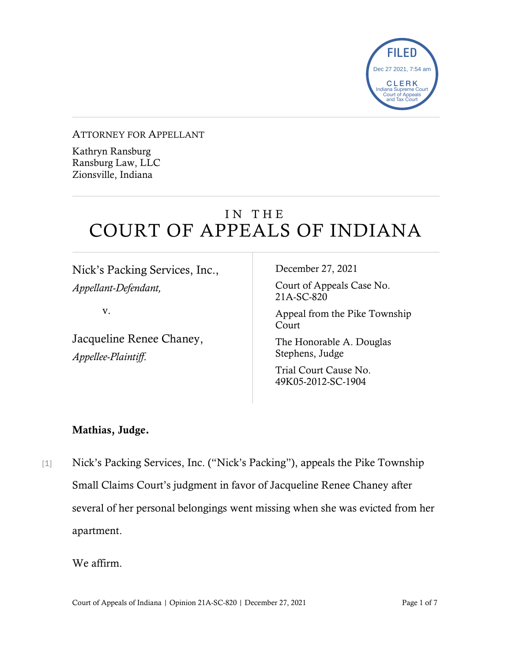

#### ATTORNEY FOR APPELLANT

Kathryn Ransburg Ransburg Law, LLC Zionsville, Indiana

# IN THE COURT OF APPEALS OF INDIANA

Nick's Packing Services, Inc., *Appellant-Defendant,*

v.

Jacqueline Renee Chaney, *Appellee-Plaintiff*.

December 27, 2021

Court of Appeals Case No. 21A-SC-820

Appeal from the Pike Township Court

The Honorable A. Douglas Stephens, Judge

Trial Court Cause No. 49K05-2012-SC-1904

### Mathias, Judge.

[1] Nick's Packing Services, Inc. ("Nick's Packing"), appeals the Pike Township Small Claims Court's judgment in favor of Jacqueline Renee Chaney after several of her personal belongings went missing when she was evicted from her apartment.

We affirm.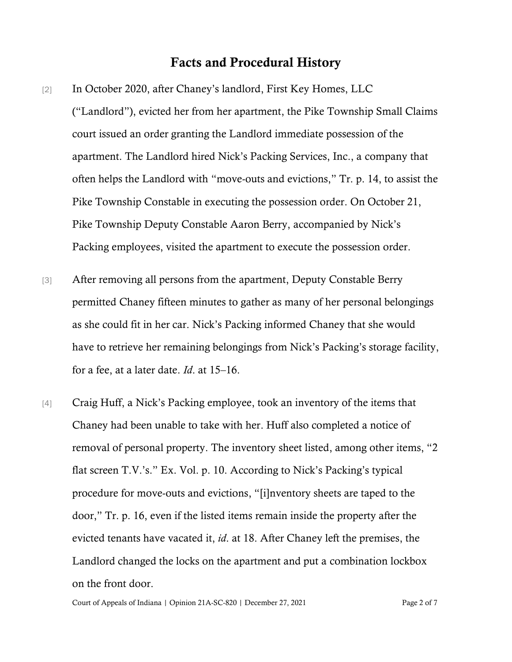### Facts and Procedural History

- [2] In October 2020, after Chaney's landlord, First Key Homes, LLC ("Landlord"), evicted her from her apartment, the Pike Township Small Claims court issued an order granting the Landlord immediate possession of the apartment. The Landlord hired Nick's Packing Services, Inc., a company that often helps the Landlord with "move-outs and evictions," Tr. p. 14, to assist the Pike Township Constable in executing the possession order. On October 21, Pike Township Deputy Constable Aaron Berry, accompanied by Nick's Packing employees, visited the apartment to execute the possession order.
- [3] After removing all persons from the apartment, Deputy Constable Berry permitted Chaney fifteen minutes to gather as many of her personal belongings as she could fit in her car. Nick's Packing informed Chaney that she would have to retrieve her remaining belongings from Nick's Packing's storage facility, for a fee, at a later date. *Id*. at 15–16.
- [4] Craig Huff, a Nick's Packing employee, took an inventory of the items that Chaney had been unable to take with her. Huff also completed a notice of removal of personal property. The inventory sheet listed, among other items, "2 flat screen T.V.'s." Ex. Vol. p. 10. According to Nick's Packing's typical procedure for move-outs and evictions, "[i]nventory sheets are taped to the door," Tr. p. 16, even if the listed items remain inside the property after the evicted tenants have vacated it, *id*. at 18. After Chaney left the premises, the Landlord changed the locks on the apartment and put a combination lockbox on the front door.

Court of Appeals of Indiana | Opinion 21A-SC-820 | December 27, 2021 Page 2 of 7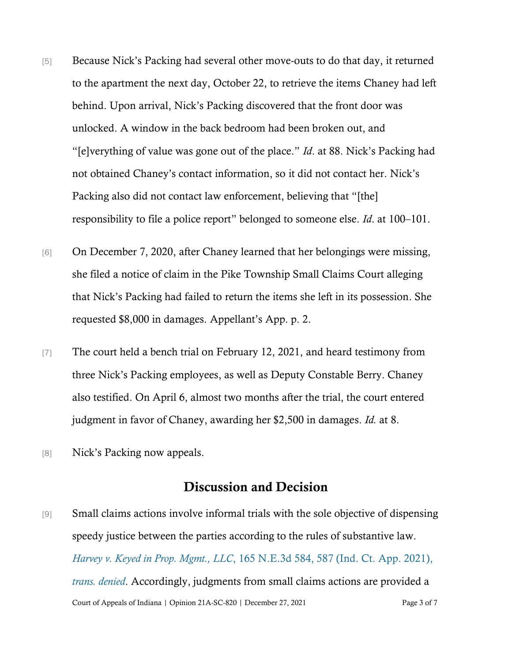- [5] Because Nick's Packing had several other move-outs to do that day, it returned to the apartment the next day, October 22, to retrieve the items Chaney had left behind. Upon arrival, Nick's Packing discovered that the front door was unlocked. A window in the back bedroom had been broken out, and "[e]verything of value was gone out of the place." *Id*. at 88. Nick's Packing had not obtained Chaney's contact information, so it did not contact her. Nick's Packing also did not contact law enforcement, believing that "[the] responsibility to file a police report" belonged to someone else. *Id*. at 100–101.
- [6] On December 7, 2020, after Chaney learned that her belongings were missing, she filed a notice of claim in the Pike Township Small Claims Court alleging that Nick's Packing had failed to return the items she left in its possession. She requested \$8,000 in damages. Appellant's App. p. 2.
- [7] The court held a bench trial on February 12, 2021, and heard testimony from three Nick's Packing employees, as well as Deputy Constable Berry. Chaney also testified. On April 6, almost two months after the trial, the court entered judgment in favor of Chaney, awarding her \$2,500 in damages. *Id.* at 8.
- [8] Nick's Packing now appeals.

## Discussion and Decision

Court of Appeals of Indiana | Opinion 21A-SC-820 | December 27, 2021 Page 3 of 7 [9] Small claims actions involve informal trials with the sole objective of dispensing speedy justice between the parties according to the rules of substantive law. *Harvey v. Keyed in Prop. Mgmt., LLC*[, 165 N.E.3d 584, 587 \(Ind. Ct. App. 2021\),](https://www.westlaw.com/Document/Ia518e130787511eb8c75eb3bff74da20/View/FullText.html?transitionType=Default&contextData=(sc.Default)&VR=3.0&RS=cblt1.0)  *[trans. denied](https://www.westlaw.com/Document/Ia518e130787511eb8c75eb3bff74da20/View/FullText.html?transitionType=Default&contextData=(sc.Default)&VR=3.0&RS=cblt1.0)*. Accordingly, judgments from small claims actions are provided a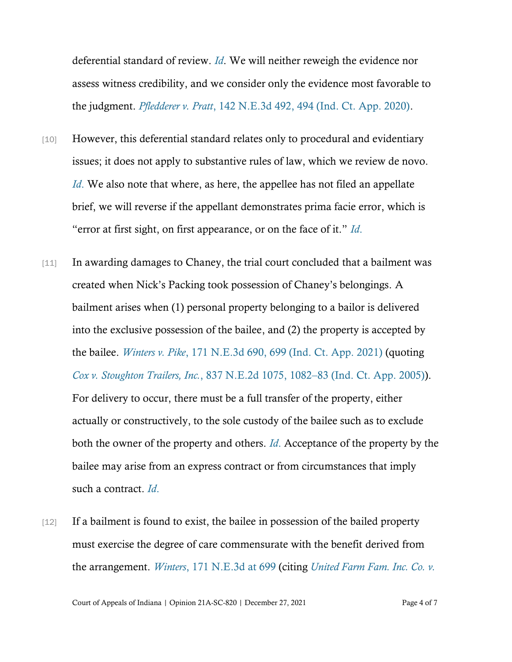deferential standard of review. *[Id](https://www.westlaw.com/Document/Ia518e130787511eb8c75eb3bff74da20/View/FullText.html?transitionType=Default&contextData=(sc.Default)&VR=3.0&RS=cblt1.0)*. We will neither reweigh the evidence nor assess witness credibility, and we consider only the evidence most favorable to the judgment. *[Pfledderer v. Pratt](https://www.westlaw.com/Document/I44f7e000542511eaa8888aec622028f5/View/FullText.html?transitionType=Default&contextData=(sc.Default)&VR=3.0&RS=da3.0&fragmentIdentifier=co_pp_sp_7902_494)*[, 142 N.E.3d 492, 494 \(Ind. Ct. App. 2020\).](https://www.westlaw.com/Document/I44f7e000542511eaa8888aec622028f5/View/FullText.html?transitionType=Default&contextData=(sc.Default)&VR=3.0&RS=da3.0&fragmentIdentifier=co_pp_sp_7902_494)

- [10] However, this deferential standard relates only to procedural and evidentiary issues; it does not apply to substantive rules of law, which we review de novo. *[Id](https://www.westlaw.com/Document/I44f7e000542511eaa8888aec622028f5/View/FullText.html?transitionType=Default&contextData=(sc.Default)&VR=3.0&RS=da3.0)*[.](https://www.westlaw.com/Document/I44f7e000542511eaa8888aec622028f5/View/FullText.html?transitionType=Default&contextData=(sc.Default)&VR=3.0&RS=da3.0) We also note that where, as here, the appellee has not filed an appellate brief, we will reverse if the appellant demonstrates prima facie error, which is "error at first sight, on first appearance, or on the face of it." *[Id](https://www.westlaw.com/Document/I44f7e000542511eaa8888aec622028f5/View/FullText.html?transitionType=Default&contextData=(sc.Default)&VR=3.0&RS=da3.0)*[.](https://www.westlaw.com/Document/I44f7e000542511eaa8888aec622028f5/View/FullText.html?transitionType=Default&contextData=(sc.Default)&VR=3.0&RS=da3.0)
- [11] In awarding damages to Chaney, the trial court concluded that a bailment was created when Nick's Packing took possession of Chaney's belongings. A bailment arises when (1) personal property belonging to a bailor is delivered into the exclusive possession of the bailee, and (2) the property is accepted by the bailee. *[Winters v. Pike](https://www.westlaw.com/Document/I871cdd70c88a11eb8388e52d62c9421d/View/FullText.html?transitionType=Default&contextData=(sc.Default)&VR=3.0&RS=da3.0&fragmentIdentifier=co_pp_sp_7902_699)*[, 171 N.E.3d 690, 699 \(Ind. Ct. App. 2021\)](https://www.westlaw.com/Document/I871cdd70c88a11eb8388e52d62c9421d/View/FullText.html?transitionType=Default&contextData=(sc.Default)&VR=3.0&RS=da3.0&fragmentIdentifier=co_pp_sp_7902_699) (quoting *[Cox v. Stoughton Trailers, Inc.](https://www.westlaw.com/Document/I59c7c6f061e911da9cfda9de91273d56/View/FullText.html?transitionType=Default&contextData=(sc.Default)&VR=3.0&RS=da3.0&fragmentIdentifier=co_pp_sp_578_1082)*, 837 N.E.2d 1075, 1082–[83 \(Ind. Ct. App. 2005\)\)](https://www.westlaw.com/Document/I59c7c6f061e911da9cfda9de91273d56/View/FullText.html?transitionType=Default&contextData=(sc.Default)&VR=3.0&RS=da3.0&fragmentIdentifier=co_pp_sp_578_1082). For delivery to occur, there must be a full transfer of the property, either actually or constructively, to the sole custody of the bailee such as to exclude both the owner of the property and others. *[Id](https://www.westlaw.com/Document/I871cdd70c88a11eb8388e52d62c9421d/View/FullText.html?transitionType=Default&contextData=(sc.Default)&VR=3.0&RS=cblt1.0)*[.](https://www.westlaw.com/Document/I871cdd70c88a11eb8388e52d62c9421d/View/FullText.html?transitionType=Default&contextData=(sc.Default)&VR=3.0&RS=cblt1.0) Acceptance of the property by the bailee may arise from an express contract or from circumstances that imply such a contract. *[Id](https://www.westlaw.com/Document/I871cdd70c88a11eb8388e52d62c9421d/View/FullText.html?transitionType=Default&contextData=(sc.Default)&VR=3.0&RS=cblt1.0)*[.](https://www.westlaw.com/Document/I871cdd70c88a11eb8388e52d62c9421d/View/FullText.html?transitionType=Default&contextData=(sc.Default)&VR=3.0&RS=cblt1.0)
- [12] If a bailment is found to exist, the bailee in possession of the bailed property must exercise the degree of care commensurate with the benefit derived from the arrangement. *[Winters](https://www.westlaw.com/Document/I871cdd70c88a11eb8388e52d62c9421d/View/FullText.html?transitionType=Default&contextData=(sc.Default)&VR=3.0&RS=da3.0&fragmentIdentifier=co_pp_sp_7902_699)*[, 171 N.E.3d at 699](https://www.westlaw.com/Document/I871cdd70c88a11eb8388e52d62c9421d/View/FullText.html?transitionType=Default&contextData=(sc.Default)&VR=3.0&RS=da3.0&fragmentIdentifier=co_pp_sp_7902_699) (citing *[United Farm Fam. Inc. Co. v.](https://www.westlaw.com/Document/Iaee57d4fd39a11d9bf60c1d57ebc853e/View/FullText.html?transitionType=Default&contextData=(sc.Default)&VR=3.0&RS=da3.0&fragmentIdentifier=co_pp_sp_578_684)*

Court of Appeals of Indiana | Opinion 21A-SC-820 | December 27, 2021 Page 4 of 7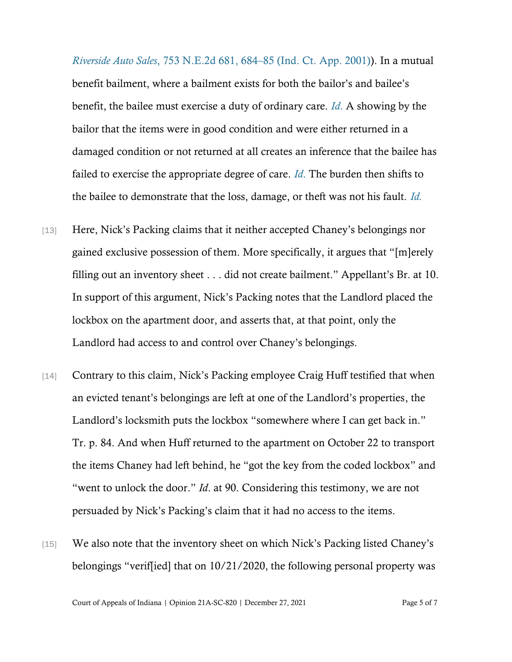*Riverside Auto Sales*[, 753 N.E.2d 681, 684](https://www.westlaw.com/Document/Iaee57d4fd39a11d9bf60c1d57ebc853e/View/FullText.html?transitionType=Default&contextData=(sc.Default)&VR=3.0&RS=da3.0&fragmentIdentifier=co_pp_sp_578_684)–[85 \(Ind. Ct. App. 2001\)\)](https://www.westlaw.com/Document/Iaee57d4fd39a11d9bf60c1d57ebc853e/View/FullText.html?transitionType=Default&contextData=(sc.Default)&VR=3.0&RS=da3.0&fragmentIdentifier=co_pp_sp_578_684). In a mutual benefit bailment, where a bailment exists for both the bailor's and bailee's benefit, the bailee must exercise a duty of ordinary care. *[Id](https://www.westlaw.com/Document/I871cdd70c88a11eb8388e52d62c9421d/View/FullText.html?transitionType=Default&contextData=(sc.Default)&VR=3.0&RS=cblt1.0)*[.](https://www.westlaw.com/Document/I871cdd70c88a11eb8388e52d62c9421d/View/FullText.html?transitionType=Default&contextData=(sc.Default)&VR=3.0&RS=cblt1.0) A showing by the bailor that the items were in good condition and were either returned in a damaged condition or not returned at all creates an inference that the bailee has failed to exercise the appropriate degree of care. *[Id](https://www.westlaw.com/Document/I871cdd70c88a11eb8388e52d62c9421d/View/FullText.html?transitionType=Default&contextData=(sc.Default)&VR=3.0&RS=cblt1.0)*[.](https://www.westlaw.com/Document/I871cdd70c88a11eb8388e52d62c9421d/View/FullText.html?transitionType=Default&contextData=(sc.Default)&VR=3.0&RS=cblt1.0) The burden then shifts to the bailee to demonstrate that the loss, damage, or theft was not his fault. *[Id.](https://www.westlaw.com/Document/I871cdd70c88a11eb8388e52d62c9421d/View/FullText.html?transitionType=Default&contextData=(sc.Default)&VR=3.0&RS=cblt1.0)*

- [13] Here, Nick's Packing claims that it neither accepted Chaney's belongings nor gained exclusive possession of them. More specifically, it argues that "[m]erely filling out an inventory sheet . . . did not create bailment." Appellant's Br. at 10. In support of this argument, Nick's Packing notes that the Landlord placed the lockbox on the apartment door, and asserts that, at that point, only the Landlord had access to and control over Chaney's belongings.
- [14] Contrary to this claim, Nick's Packing employee Craig Huff testified that when an evicted tenant's belongings are left at one of the Landlord's properties, the Landlord's locksmith puts the lockbox "somewhere where I can get back in." Tr. p. 84. And when Huff returned to the apartment on October 22 to transport the items Chaney had left behind, he "got the key from the coded lockbox" and "went to unlock the door." *Id*. at 90. Considering this testimony, we are not persuaded by Nick's Packing's claim that it had no access to the items.
- [15] We also note that the inventory sheet on which Nick's Packing listed Chaney's belongings "verif[ied] that on 10/21/2020, the following personal property was

Court of Appeals of Indiana | Opinion 21A-SC-820 | December 27, 2021 Page 5 of 7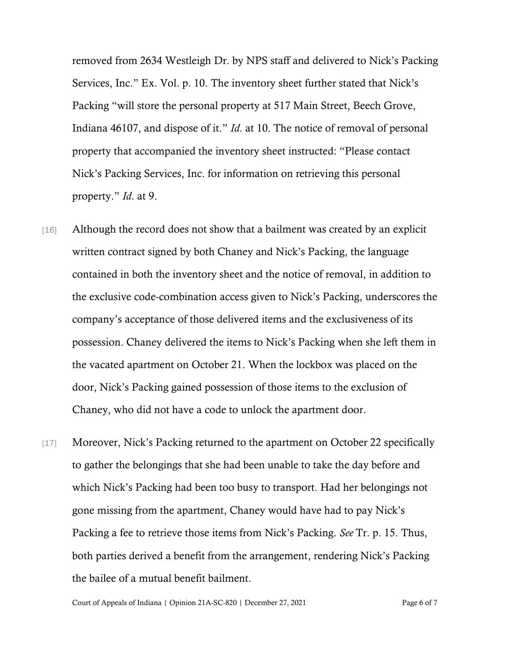removed from 2634 Westleigh Dr. by NPS staff and delivered to Nick's Packing Services, Inc." Ex. Vol. p. 10. The inventory sheet further stated that Nick's Packing "will store the personal property at 517 Main Street, Beech Grove, Indiana 46107, and dispose of it." *Id*. at 10. The notice of removal of personal property that accompanied the inventory sheet instructed: "Please contact Nick's Packing Services, Inc. for information on retrieving this personal property." *Id*. at 9.

- [16] Although the record does not show that a bailment was created by an explicit written contract signed by both Chaney and Nick's Packing, the language contained in both the inventory sheet and the notice of removal, in addition to the exclusive code-combination access given to Nick's Packing, underscores the company's acceptance of those delivered items and the exclusiveness of its possession. Chaney delivered the items to Nick's Packing when she left them in the vacated apartment on October 21. When the lockbox was placed on the door, Nick's Packing gained possession of those items to the exclusion of Chaney, who did not have a code to unlock the apartment door.
- [17] Moreover, Nick's Packing returned to the apartment on October 22 specifically to gather the belongings that she had been unable to take the day before and which Nick's Packing had been too busy to transport. Had her belongings not gone missing from the apartment, Chaney would have had to pay Nick's Packing a fee to retrieve those items from Nick's Packing. *See* Tr. p. 15. Thus, both parties derived a benefit from the arrangement, rendering Nick's Packing the bailee of a mutual benefit bailment.

Court of Appeals of Indiana | Opinion 21A-SC-820 | December 27, 2021 Page 6 of 7